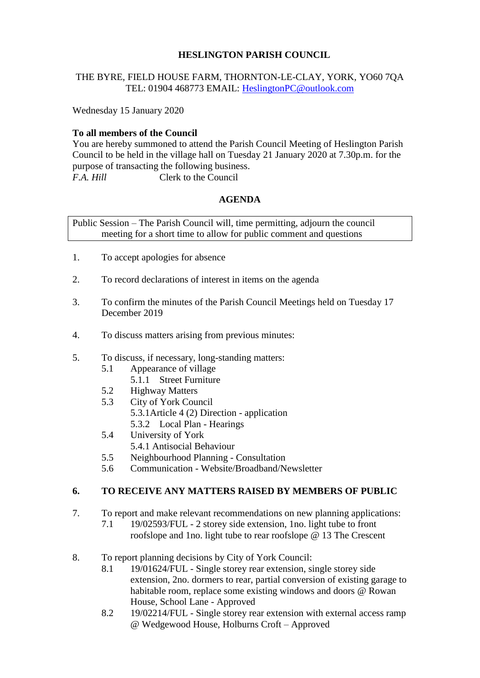# **HESLINGTON PARISH COUNCIL**

## THE BYRE, FIELD HOUSE FARM, THORNTON-LE-CLAY, YORK, YO60 7QA TEL: 01904 468773 EMAIL: [HeslingtonPC@outlook.com](mailto:HeslingtonPC@outlook.com)

Wednesday 15 January 2020

# **To all members of the Council**

You are hereby summoned to attend the Parish Council Meeting of Heslington Parish Council to be held in the village hall on Tuesday 21 January 2020 at 7.30p.m. for the purpose of transacting the following business. *F.A. Hill* Clerk to the Council

## **AGENDA**

Public Session – The Parish Council will, time permitting, adjourn the council meeting for a short time to allow for public comment and questions

- 1. To accept apologies for absence
- 2. To record declarations of interest in items on the agenda
- 3. To confirm the minutes of the Parish Council Meetings held on Tuesday 17 December 2019
- 4. To discuss matters arising from previous minutes:
- 5. To discuss, if necessary, long-standing matters:
	- 5.1 Appearance of village
		- 5.1.1 Street Furniture
	- 5.2 Highway Matters
	- 5.3 City of York Council 5.3.1Article 4 (2) Direction - application 5.3.2 Local Plan - Hearings
	- 5.4 University of York
	- 5.4.1 Antisocial Behaviour
	- 5.5 Neighbourhood Planning Consultation
	- 5.6 Communication Website/Broadband/Newsletter

#### **6. TO RECEIVE ANY MATTERS RAISED BY MEMBERS OF PUBLIC**

- 7. To report and make relevant recommendations on new planning applications:
	- 7.1 19/02593/FUL 2 storey side extension, 1no. light tube to front roofslope and 1no. light tube to rear roofslope @ 13 The Crescent
- 8. To report planning decisions by City of York Council:
	- 8.1 19/01624/FUL Single storey rear extension, single storey side extension, 2no. dormers to rear, partial conversion of existing garage to habitable room, replace some existing windows and doors @ Rowan House, School Lane - Approved
	- 8.2 19/02214/FUL Single storey rear extension with external access ramp @ Wedgewood House, Holburns Croft – Approved